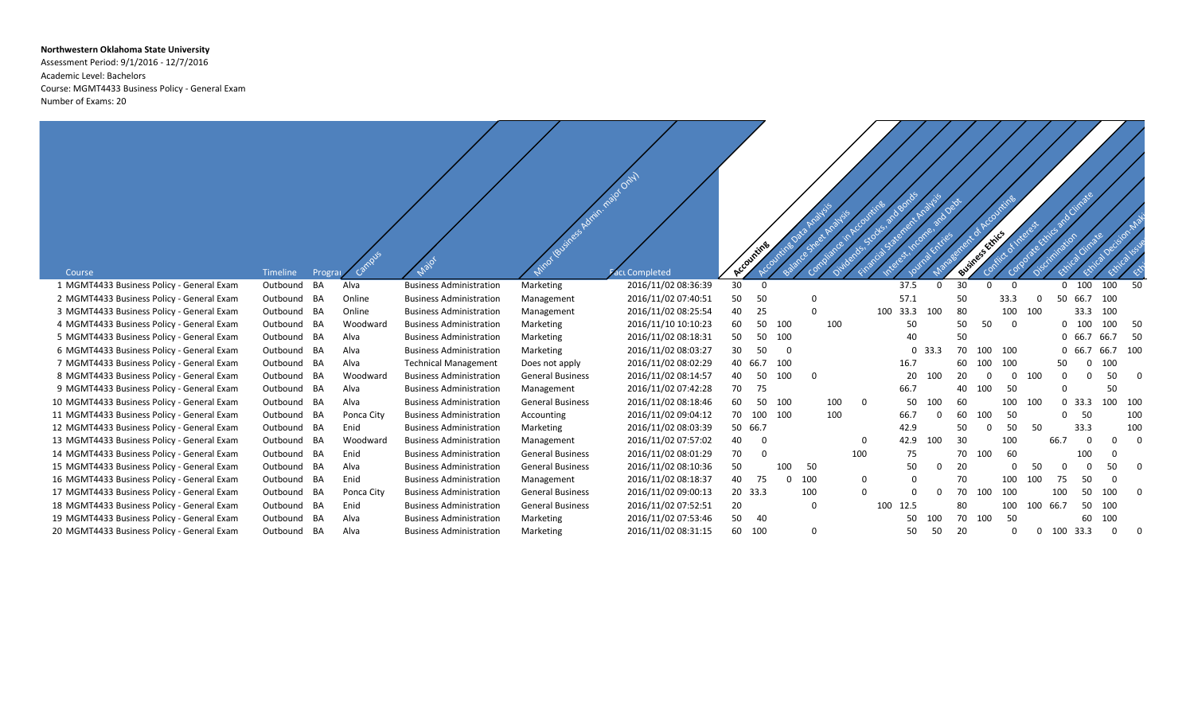## **Northwestern Oklahoma State University**

Assessment Period: 9/1/2016 - 12/7/2016 Academic Level: Bachelors Course: MGMT4433 Business Policy - General Exam Number of Exams: 20

| Course                                     | Timeline    | Progra |            |                                | Mino levelings Administrator Only | ci Completed        |    | Accounting |          |             |     |             |          |          |    | Business Ethics |              |              |          | Cimate   |          |                         |
|--------------------------------------------|-------------|--------|------------|--------------------------------|-----------------------------------|---------------------|----|------------|----------|-------------|-----|-------------|----------|----------|----|-----------------|--------------|--------------|----------|----------|----------|-------------------------|
| 1 MGMT4433 Business Policy - General Exam  | Outbound    | BA     | Alva       | <b>Business Administration</b> | Marketing                         | 2016/11/02 08:36:39 | 30 | $\Omega$   |          |             |     |             | 37.5     | $\Omega$ | 30 | $\Omega$        | $\Omega$     |              |          | 0, 100   | 100      | 50                      |
| 2 MGMT4433 Business Policy - General Exam  | Outbound BA |        | Online     | <b>Business Administration</b> | Management                        | 2016/11/02 07:40:51 | 50 | 50         |          | 0           |     |             | 57.1     |          | 50 |                 | 33.3         | $\Omega$     | 50       | 66.7     | 100      |                         |
| 3 MGMT4433 Business Policy - General Exam  | Outbound    | BA     | Online     | <b>Business Administration</b> | Management                        | 2016/11/02 08:25:54 | 40 | 25         |          | $\Omega$    |     |             | 100 33.3 | 100      | 80 |                 | 100          | 100          |          | 33.3     | 100      |                         |
| 4 MGMT4433 Business Policy - General Exam  | Outbound    | BA     | Woodward   | <b>Business Administration</b> | Marketing                         | 2016/11/10 10:10:23 | 60 | 50         | 100      |             | 100 |             | 50       |          | 50 | 50              | $\Omega$     |              | $\Omega$ | - 100    | 100      | 50                      |
| 5 MGMT4433 Business Policy - General Exam  | Outbound BA |        | Alva       | <b>Business Administration</b> | Marketing                         | 2016/11/02 08:18:31 | 50 | 50         | 100      |             |     |             | 40       |          | 50 |                 |              |              | $\Omega$ | 66.7     | 66.7     | -50                     |
| 6 MGMT4433 Business Policy - General Exam  | Outbound BA |        | Alva       | <b>Business Administration</b> | Marketing                         | 2016/11/02 08:03:27 | 30 | 50         | $\Omega$ |             |     |             |          | 0, 33.3  | 70 | 100             | 100          |              |          | 66.7     | 66.7     | 100                     |
| 7 MGMT4433 Business Policy - General Exam  | Outbound BA |        | Alva       | <b>Technical Management</b>    | Does not apply                    | 2016/11/02 08:02:29 |    | 40 66.7    | 100      |             |     |             | 16.7     |          | 60 | 100             | 100          |              | 50       | 0        | 100      |                         |
| 8 MGMT4433 Business Policy - General Exam  | Outbound BA |        | Woodward   | <b>Business Administration</b> | <b>General Business</b>           | 2016/11/02 08:14:57 | 40 | 50         | 100      | $\mathbf 0$ |     |             | 20       | 100      | 20 |                 | $\Omega$     | 100          | $\Omega$ | $\Omega$ | 50       | $\overline{\mathbf{0}}$ |
| 9 MGMT4433 Business Policy - General Exam  | Outbound BA |        | Alva       | <b>Business Administration</b> | Management                        | 2016/11/02 07:42:28 | 70 | 75         |          |             |     |             | 66.7     |          | 40 | 100             | 50           |              |          |          | 50       |                         |
| 10 MGMT4433 Business Policy - General Exam | Outbound BA |        | Alva       | <b>Business Administration</b> | <b>General Business</b>           | 2016/11/02 08:18:46 | 60 | 50         | 100      |             | 100 | $\mathbf 0$ | 50       | 100      | 60 |                 | 100          | 100          |          | 0, 33.3  | 100      | 100                     |
| 11 MGMT4433 Business Policy - General Exam | Outbound    | BA     | Ponca City | <b>Business Administration</b> | Accounting                        | 2016/11/02 09:04:12 | 70 | 100        | 100      |             | 100 |             | 66.7     | $\Omega$ | 60 | 100             | 50           |              | $\Omega$ | 50       |          | 100                     |
| 12 MGMT4433 Business Policy - General Exam | Outbound    | BA     | Enid       | <b>Business Administration</b> | Marketing                         | 2016/11/02 08:03:39 |    | 50 66.7    |          |             |     |             | 42.9     |          | 50 | $\Omega$        | 50           | 50           |          | 33.3     |          | 100                     |
| 13 MGMT4433 Business Policy - General Exam | Outbound BA |        | Woodward   | <b>Business Administration</b> | Management                        | 2016/11/02 07:57:02 | 40 | $\Omega$   |          |             |     | $\Omega$    | 42.9     | 100      | 30 |                 | 100          |              | 66.7     | $\Omega$ | $\Omega$ | $\Omega$                |
| 14 MGMT4433 Business Policy - General Exam | Outbound BA |        | Enid       | <b>Business Administration</b> | <b>General Business</b>           | 2016/11/02 08:01:29 | 70 | C          |          |             |     | 100         | 75       |          | 70 | 100             | 60           |              |          | 100      |          |                         |
| 15 MGMT4433 Business Policy - General Exam | Outbound BA |        | Alva       | <b>Business Administration</b> | <b>General Business</b>           | 2016/11/02 08:10:36 | 50 |            | 100      | 50          |     |             | 50       | $\Omega$ | 20 |                 | <sup>0</sup> | 50           | $\Omega$ | $\Omega$ | 50       | $\Omega$                |
| 16 MGMT4433 Business Policy - General Exam | Outbound BA |        | Enid       | <b>Business Administration</b> | Management                        | 2016/11/02 08:18:37 | 40 | 75         | $\Omega$ | 100         |     | $\Omega$    | $\Omega$ |          | 70 |                 | 100          | 100          | 75       | 50       | $\Omega$ |                         |
| 17 MGMT4433 Business Policy - General Exam | Outbound    | BA     | Ponca City | <b>Business Administration</b> | <b>General Business</b>           | 2016/11/02 09:00:13 |    | 20 33.3    |          | 100         |     | $\Omega$    |          | $\Omega$ | 70 | 100             | 100          |              | 100      | 50       | 100      | $\Omega$                |
| 18 MGMT4433 Business Policy - General Exam | Outbound BA |        | Enid       | <b>Business Administration</b> | <b>General Business</b>           | 2016/11/02 07:52:51 | 20 |            |          | 0           |     |             | 100 12.5 |          | 80 |                 | 100          | 100          | 66.7     | 50       | 100      |                         |
| 19 MGMT4433 Business Policy - General Exam | Outbound    | BA     | Alva       | <b>Business Administration</b> | Marketing                         | 2016/11/02 07:53:46 | 50 | 40         |          |             |     |             | 50       | 100      | 70 | 100             | 50           |              |          | 60       | 100      |                         |
| 20 MGMT4433 Business Policy - General Exam | Outbound BA |        | Alva       | <b>Business Administration</b> | Marketing                         | 2016/11/02 08:31:15 |    | 60 100     |          | 0           |     |             | 50       | 50       | 20 |                 | 0            | $\mathbf{0}$ | 100 33.3 |          | $\Omega$ | 0                       |

 $\sqrt{1}$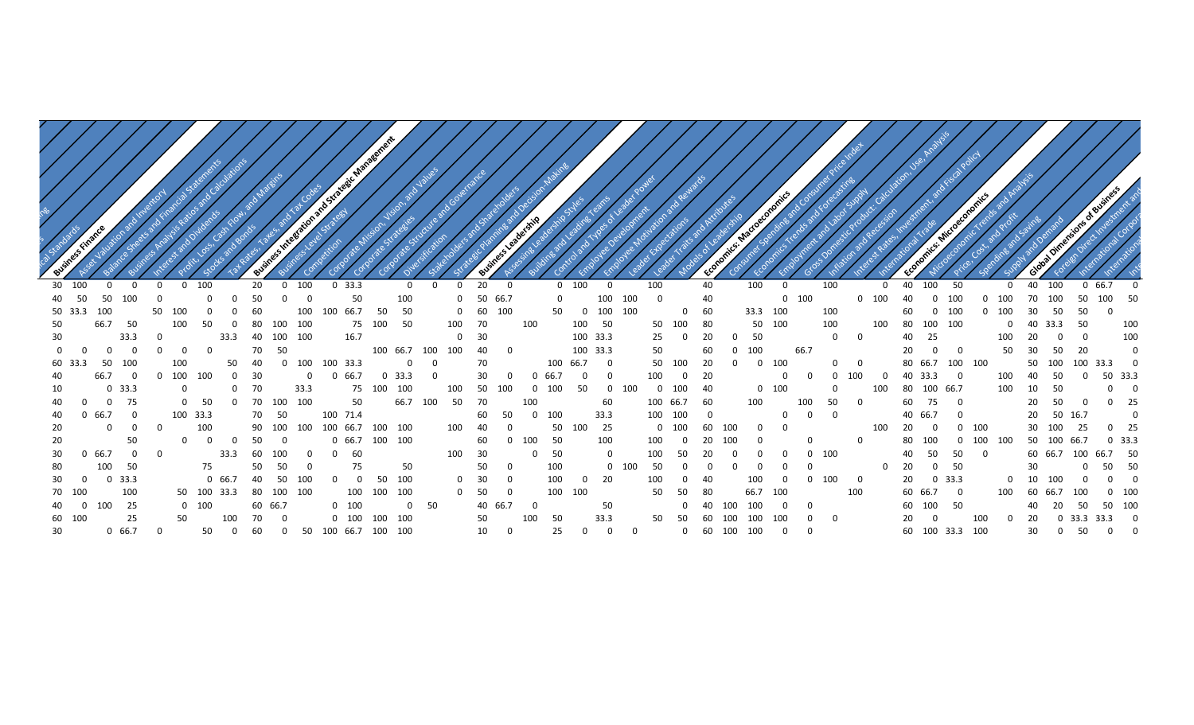|                            |                 |             |         |                       | a tegic Managem         |                  |                |              |         |          |                |                 |          |             |                  |              |                                |         |                |                          |     |      |                      |                |                |
|----------------------------|-----------------|-------------|---------|-----------------------|-------------------------|------------------|----------------|--------------|---------|----------|----------------|-----------------|----------|-------------|------------------|--------------|--------------------------------|---------|----------------|--------------------------|-----|------|----------------------|----------------|----------------|
|                            |                 |             |         |                       |                         |                  |                |              |         |          |                |                 |          |             |                  |              |                                |         |                |                          |     |      |                      |                |                |
|                            |                 |             |         |                       |                         |                  |                |              |         |          |                |                 |          |             |                  |              |                                |         |                |                          |     |      |                      |                |                |
|                            |                 |             |         |                       |                         |                  |                |              |         |          |                |                 |          |             |                  |              |                                |         |                |                          |     |      |                      |                |                |
|                            |                 |             |         |                       |                         |                  |                |              |         |          |                |                 |          |             |                  |              |                                |         |                |                          |     |      |                      |                |                |
|                            |                 |             |         |                       |                         |                  |                |              |         |          |                |                 |          |             |                  |              |                                |         |                |                          |     |      |                      |                |                |
|                            |                 |             |         |                       |                         |                  |                |              |         |          |                |                 |          |             |                  |              |                                |         |                |                          |     |      |                      |                |                |
| 30 100                     | - 0<br>$\Omega$ | 100         | 20      | 100                   | 0, 33.3                 |                  | $\overline{0}$ | 20           |         | $0$ 100  |                | 100             |          | 40          | 100              | 0            | 100                            |         | 40<br>100      | 50                       |     | 40   | 100                  | 0 66.7         | $\Omega$       |
| 40 50<br>50<br>100         |                 |             | 50      |                       | 50                      | 100              |                | 0 50 66.7    |         | $\Omega$ | 100            | 100<br>$\Omega$ |          | 40          |                  | $0$ 100      |                                | $0$ 100 | 40<br>$\Omega$ | 100                      | 100 | 70   | 100<br>50            | 100            | 50             |
| 50 33.3<br>100             | 50<br>100       |             | 60      | 100                   | 100 66.7                | 50<br>50         |                | $0\qquad 60$ | 100     | 50       | 100<br>- 0     | 100             |          | 60          | 33.3 100         |              | 100                            |         | 60<br>$\Omega$ | 100                      | 100 | 30   | 50<br>50             |                |                |
| 50<br>66.7<br>50           | 100             | 50          | 80      | 100<br>100            |                         | 75 100 50        | 100            | 70           | 100     |          | 50<br>100      | 50              | 100      | 80          | 50 100           |              | 100                            | 100     | 80 100 100     |                          |     | - 40 | 50<br>33.3           |                | 100            |
| 30<br>33.3                 |                 | 33.3        | 40      | 100<br>100            | 16.7                    |                  |                | $0\qquad 30$ |         |          | 100 33.3       | 25              |          | 20          | - 50             |              | $\Omega$<br>- റ                |         | 25<br>40       |                          | 100 |      | $\Omega$             |                | 100            |
|                            | . റ             |             | 70      |                       |                         | 100 66.7         | 100<br>100     | 40           |         |          | 100 33.3       | 50              |          |             | 100              | 66.7         |                                |         |                | $\overline{0}$<br>$\cap$ | 50  |      | 50<br>20             |                |                |
| 60 33                      |                 |             |         | 100                   | 100 33.3                |                  |                |              |         | 100      | 66.7           | 50              |          | 20          |                  | 100          | - റ                            |         | 80 66.7        | 100                      | 100 | 50   | 100                  | 100 33.3       |                |
| 40                         | 100             |             | 30      |                       | 66.7                    |                  |                |              |         | 66.7     | $\Omega$       | 100             |          |             |                  |              | 100                            |         | 40 33.3        |                          |     |      | -50                  | 50 33.3        |                |
| 10                         |                 |             |         | 33.3                  |                         | 100              |                |              |         | 100      | 50             | - റ             | 100      | -40         |                  |              |                                |         | 80             | 100 66.7                 |     | 10   |                      |                | റ              |
| 40<br>- റ                  |                 |             | 70      | 100<br>100            | 50                      | 66.7             | 50<br>100      |              |         |          | 60             | 100             | 66.7     | -60         | 100              | 100          |                                |         | 75<br>60       |                          |     |      |                      |                | 25             |
| 40<br>66.7                 | 100 33.3        |             |         | 50                    | 100 71.4                |                  |                |              |         | 100      | 33.3           | 100             | 100      |             |                  |              |                                |         | 40 66.7        |                          |     |      | 50 16.7              |                |                |
| 20                         |                 | 100         | 90 100  | 100                   |                         | 100 66.7 100 100 | 100            |              |         | 50       | 25<br>100      | <u>ດ</u>        | 100      | 100<br>60   |                  |              |                                |         |                | $0\quad 100$             |     |      | 100                  |                | 25             |
| 20<br>50                   |                 |             | 50      |                       |                         | 0 66.7 100 100   |                | 60           | 100     | 50       | 100            |                 |          |             |                  |              |                                |         | 100            |                          | 100 |      | 50 100 66.7          | 0, 33.3        |                |
| 30<br>66.7                 | $\Omega$        | 33.3        | 60      | 100                   | -60                     |                  | 100            | - 30         |         | 50       |                |                 |          |             |                  | $0\quad 100$ |                                |         | 50<br>40       | 50                       |     |      | 60 66.7 100 66.7 50  |                |                |
| 80<br>100<br>50            |                 | 75          | 50      |                       | 75                      | 50               |                | 50           |         | 100      |                | 50              |          |             |                  |              |                                |         | 20             | $0\quad 50$              |     | 30   | $\overline{0}$       | 50             | - 50           |
| 30<br>$0$ 33.3<br>$\Omega$ |                 | 0 66.7      | 40      | 50<br>100             | $\overline{\mathbf{0}}$ | 50 100           |                | $0\qquad 30$ |         | 100      | - 20<br>- 0    |                 |          |             |                  |              | 100<br>$\overline{\mathbf{0}}$ |         | 20             | $0\quad 33.3$            |     | 10   | 100                  | $\overline{0}$ | $\overline{0}$ |
| 70 100<br>100              |                 | 50 100 33.3 |         | 80 100 100            |                         | 100 100 100      |                | $0\quad 50$  |         | 100 100  |                | 50              | 50       | -80         | 66.7             | 100          | 100                            |         | 60 66.7 0      |                          |     |      | 100<br>-66.7         | $0$ 100        |                |
| 25<br>40<br>$0$ 100        |                 | 100         | 60 66.7 |                       | 100                     | $\mathbf{0}$     | - 50           |              | 40 66.7 |          | 50             |                 | $\Omega$ | - 40<br>100 | 100              | $\Omega$     |                                |         | 60 100         | 50                       |     |      | 50<br>- 20           | 50 100         |                |
| 25<br>60 100               |                 |             |         |                       | $0\quad 100\quad 100$   | 100              |                |              |         | 50       | 33.3           | 50              | - 50     | 100<br>- 60 | 100              | 100          | $\Omega$                       |         |                |                          | 100 |      | $0\,$ 33.3 33.3      |                | - 0            |
| 30<br>0, 66.7              |                 | 50          | 60      | 0 50 100 66.7 100 100 |                         |                  |                | 10           |         | 25       | $\overline{0}$ |                 |          |             | 0 60 100 100 0 0 |              |                                |         |                | 60 100 33.3 100          |     | 30   | 50<br>$\overline{0}$ | $0\qquad 0$    |                |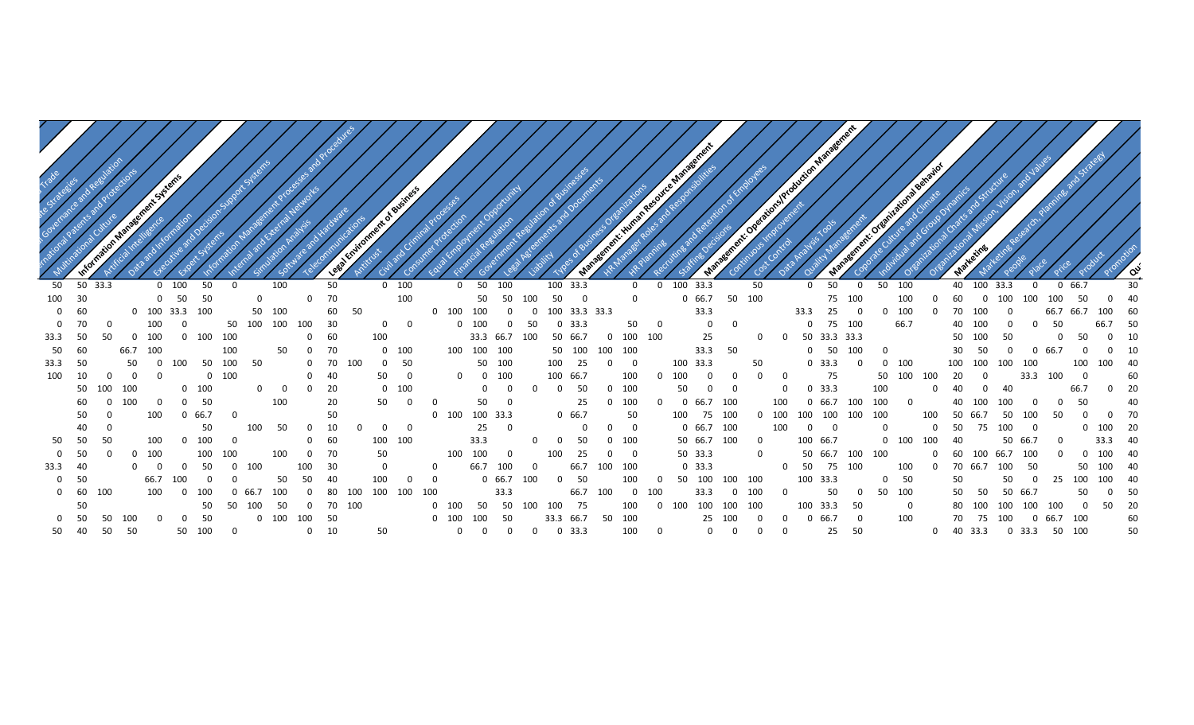|          |              |                |         |                |                |                     |                         |              |             |                   |              |       |             | int of Business   |                |                |                 |                     |          |                 |               |                  |                |              |                   |                |                |                         |                  |               | School McQuetion Management |                         |                 |           |     |                         |                         |          |                |          |                       |    |  |
|----------|--------------|----------------|---------|----------------|----------------|---------------------|-------------------------|--------------|-------------|-------------------|--------------|-------|-------------|-------------------|----------------|----------------|-----------------|---------------------|----------|-----------------|---------------|------------------|----------------|--------------|-------------------|----------------|----------------|-------------------------|------------------|---------------|-----------------------------|-------------------------|-----------------|-----------|-----|-------------------------|-------------------------|----------|----------------|----------|-----------------------|----|--|
| 50       |              | 50 33.3        |         |                | $0$ 100        | 50                  | $\Omega$                |              | 100         |                   | 50           |       |             | $0$ 100           |                | $0\quad 50$    |                 | 100                 |          | 100 33.3        |               |                  | $\mathbf 0$    |              | 0 100 33.3        |                |                | 50                      |                  | $\mathbf 0$   | 50                          | $\mathbf 0$             | 50<br>100       |           | 40  | 100                     | 33.3                    | $\Omega$ | 0, 66.7        |          |                       | 30 |  |
| 100      | 30           |                |         |                | $0\qquad 50$   | 50                  |                         | $\mathbf{0}$ |             |                   | $0\qquad 70$ |       |             | 100               |                |                |                 | 50 50 100           |          | 50 0            |               |                  | $\overline{0}$ |              |                   | 0 66.7 50 100  |                |                         |                  |               | 75 100                      |                         | 100             |           | 60  |                         | $0$ 100                 | 100 100  |                | 50       | $\overline{0}$        | 40 |  |
|          | $0\qquad 60$ |                |         | 0 100 33.3 100 |                |                     |                         |              | 50 100      |                   |              | 60 50 |             |                   |                | 0 100 100      |                 | $\overline{0}$      |          | 0 100 33.3 33.3 |               |                  |                |              |                   | 33.3           |                |                         |                  | 33.3 25       |                             | $\overline{\mathbf{0}}$ | $0$ 100         | 0         |     | 70 100                  | $\overline{\mathbf{0}}$ |          |                |          | 66.7 66.7 100 60      |    |  |
| $\Omega$ | 70           | - 0            |         | 100            | $\overline{0}$ |                     |                         |              |             | 50 100 100 100 30 |              |       |             | $0\qquad 0$       |                | $0$ 100        |                 | 0 <sub>50</sub>     |          |                 | $0\quad 33.3$ |                  |                | 50 0         |                   | $\overline{0}$ | $\overline{0}$ |                         |                  |               | 0 75 100                    |                         | 66.7            |           |     | 40 100                  | - റ                     | $\Omega$ | 50             |          | 66.7 50               |    |  |
| 33.3     | 50           | -50            |         | $0\quad 100$   |                | 0 100 100           |                         |              |             |                   | $0\qquad 60$ |       |             | 100 33.3 66.7 100 |                |                |                 |                     |          |                 | 50 66.7       |                  | 0 100 100      |              |                   | 25             |                | $\overline{0}$          |                  |               | 0 50 33.3 33.3              |                         |                 |           |     | 50 100                  | 50                      |          | 0              | -50      | $0\quad 10$           |    |  |
| 50       | 60           |                | 66.7    | 100            |                |                     | 100                     |              | 50          |                   | $0\qquad 70$ |       |             | $0$ 100           |                | 100 100 100    |                 |                     |          |                 | 50 100        | 100 100          |                |              |                   | 33.3 50        |                |                         |                  |               | 0 50 100                    |                         | $\Omega$        |           |     | 30 50                   | റ                       |          | 0 66.7         | $\Omega$ | $0 \t 10$             |    |  |
| 33.3     | 50           |                | 50      |                | $0\quad 100$   |                     | 50 100 50               |              |             |                   | $0$ 70 100   |       |             | 0 <sub>50</sub>   |                |                | 50 100          |                     |          | 100 25          |               | $\Omega$         | $\Omega$       |              | 100 33.3          |                |                | 50                      |                  | $0\quad 33.3$ |                             | $\Omega$                | $0\quad 100$    |           |     | 100 100 100 100         |                         |          |                |          | 100 100 40            |    |  |
| 100      | 10           | $\Omega$       | റ       | - 0            |                |                     | $0\quad 100$            |              |             |                   | $0\quad 40$  |       | 50 0        |                   |                |                | $0 \t 0 \t 100$ |                     |          | 100 66.7        |               |                  | 100            | $\mathbf{0}$ | 100               | $\mathbf 0$    | $\mathbf 0$    | 0                       | $\Omega$         | 75            |                             |                         | 50 100          | - 100     | 20  | 0                       |                         | 33.3 100 |                | $\Omega$ |                       | 60 |  |
|          |              | 50 100 100     |         |                |                | $0$ 100             |                         |              | $0\qquad 0$ |                   | $0\qquad 20$ |       |             | $0$ 100           |                |                |                 | $0\qquad 0$         | $\Omega$ |                 | $0\quad 50$   |                  | $0$ 100        |              | 50                | $\Omega$       | $\mathbf 0$    |                         | $\Omega$         | 0, 33.3       |                             | 100                     |                 | $\Omega$  | 40  | $\Omega$                | 40                      |          |                | 66.7     | $0\qquad 20$          |    |  |
|          | 60           |                | $0$ 100 | $\Omega$       |                | $0\quad 50$         |                         |              | 100         |                   | 20           |       | 50 0        |                   | $\Omega$       |                | 50              | $\Omega$            |          |                 | 25            |                  | $0$ 100        | $\Omega$     |                   | 0 66.7 100     |                |                         | 100              |               | 0 66.7 100 100              |                         |                 | $\Omega$  |     | 40 100                  | 100                     | $\Omega$ | $\Omega$       | - 50     |                       | 40 |  |
|          | 50           | $\overline{0}$ |         | 100            |                | 0, 66.7             | $\overline{\mathbf{0}}$ |              |             |                   | 50           |       |             |                   |                | 0 100 100 33.3 |                 |                     |          |                 | 0, 66.7       |                  | 50             |              |                   | 100 75 100     |                |                         |                  |               | 0 100 100 100 100 100       |                         |                 | 100       |     | 50 66.7 50              |                         | 100      | 50             | $\Omega$ | 0 70                  |    |  |
|          | 40           | $\overline{0}$ |         |                |                | 50                  |                         | 100          | 50          |                   | $0\qquad 10$ |       |             | $0\qquad 0$       |                |                | 25 0            |                     |          |                 | $\Omega$      |                  | $0\qquad 0$    |              |                   | 0 66.7 100     |                |                         | 100              | $0\qquad 0$   |                             |                         | $\Omega$        |           |     | 0 50 75 100             |                         | $\Omega$ |                |          | 0 100 20              |    |  |
| 50       | 50           | 50             |         | 100            |                | $0\quad 100\quad 0$ |                         |              |             |                   | $0\qquad 60$ |       | 100 100     |                   |                |                | 33.3            |                     | $\Omega$ |                 | - 50          |                  | 0 100          |              |                   | 50 66.7 100    |                | $\Omega$                |                  | 100 66.7      |                             |                         |                 | 0 100 100 | -40 |                         |                         | 50 66.7  | $\overline{0}$ |          | 33.3 40               |    |  |
| $\Omega$ | 50           | - 0            |         | 0, 100         |                | 100                 | 100                     |              | 100         |                   | $0\qquad 70$ |       | 50          |                   |                | 100 100        |                 | $\Omega$            |          | 100             | 25            | $\Omega$         | $\overline{0}$ |              |                   | 50 33.3        |                | $\overline{0}$          |                  |               | 50 66.7 100 100             |                         |                 |           |     | 0 60 100 66.7           |                         | 100      | . റ            |          | $0$ 100 40            |    |  |
| 33.3     | 40           |                |         |                | $\Omega$       | -50                 | $\Omega$                | 100          |             | 100               | 30           |       | $\mathbf 0$ |                   |                |                | 66.7            | 100                 | $\Omega$ |                 | 66.7          | 100 100          |                |              |                   | $0\quad 33.3$  |                |                         |                  |               | 0 50 75 100                 |                         | 100             | $\Omega$  |     | 70 66.7                 | 100                     | 50       |                |          | 50 100 40             |    |  |
|          | 0 50         |                |         | 66.7           | 100            |                     |                         |              | 50          | 50                | 40           |       | 100         | $\mathbf 0$       | $\overline{0}$ |                |                 | 0 66.7 100          |          |                 | 0 50          |                  | 100            |              | 0 50 100 100 100  |                |                |                         |                  | 100 33.3      |                             |                         | 0 <sub>50</sub> |           | 50  |                         | 50                      |          |                |          | 0 25 100 100 40       |    |  |
|          | 0 60 100     |                |         | 100            |                | 0 100               |                         | 66.7         | 100         |                   | 0 80         | 100   | 100 100     |                   | 100            |                |                 | 33.3                |          |                 |               | 66.7 100         |                | $0\quad 100$ |                   | 33.3           |                | $0$ 100                 | $\mathbf 0$      |               | 50                          | $\mathbf{0}$            | 50 100          |           |     | 50 50                   |                         | 50 66.7  |                | 50       | 0 50                  |    |  |
|          | 50           |                |         |                |                | 50                  |                         | 50 100       | - 50        |                   | $0$ 70 100   |       |             |                   |                |                |                 | 0 100 50 50 100 100 |          |                 | 75            |                  | 100            |              | 0 100 100 100 100 |                |                |                         |                  | 100 33.3      |                             | - 50                    |                 | $\Omega$  |     | 80 100                  | 100                     | 100 100  |                |          | $0\times 50\times 20$ |    |  |
|          | 0 50         | 50 100         |         |                |                | 0 50                |                         |              |             | 0 100 100 50      |              |       |             |                   |                | 0 100 100 50   |                 |                     |          |                 |               | 33.3 66.7 50 100 |                |              |                   | 25 100         |                | - 0                     | $0 \t 0 \t 66.7$ |               |                             | $\overline{0}$          | 100             |           |     | 70 75 100 0 66.7 100    |                         |          |                |          |                       | 60 |  |
| 50       | 40           | 50 50          |         |                |                |                     |                         |              | 50 100 0    |                   | $0\qquad 10$ |       | 50          |                   |                |                |                 | $0$ 0 0 0 0 33.3    |          |                 |               |                  | 100 0          |              |                   |                | $0\qquad 0$    | $\overline{\mathbf{0}}$ | $\overline{0}$   |               | 25 50                       |                         |                 |           |     | 0 40 33.3 0 33.3 50 100 |                         |          |                |          |                       | 50 |  |